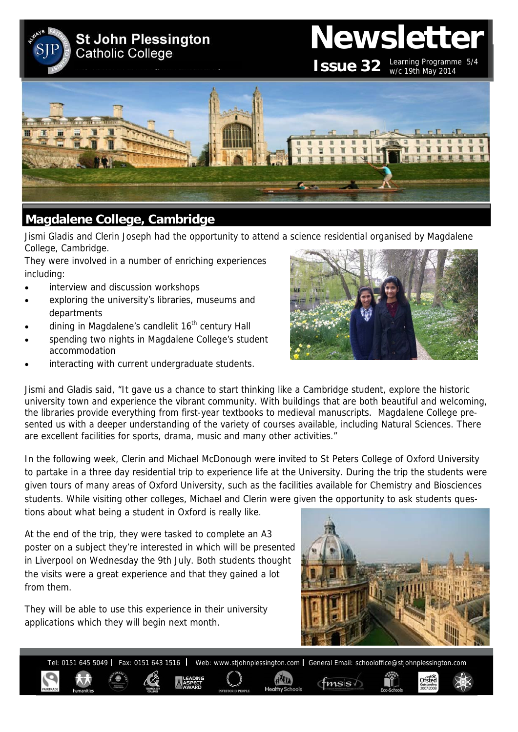**St John Plessington Catholic College** 

# **Newsletter ISSUE 32** Learning Programme  $5/4$

w/c 19th May 2014



# **Magdalene College, Cambridge**

Jismi Gladis and Clerin Joseph had the opportunity to attend a science residential organised by Magdalene College, Cambridge.

They were involved in a number of enriching experiences including:

- interview and discussion workshops
- exploring the university's libraries, museums and departments
- dining in Magdalene's candlelit 16<sup>th</sup> century Hall
- spending two nights in Magdalene College's student accommodation
- interacting with current undergraduate students.



Jismi and Gladis said, "It gave us a chance to start thinking like a Cambridge student, explore the historic university town and experience the vibrant community. With buildings that are both beautiful and welcoming, the libraries provide everything from first-year textbooks to medieval manuscripts. Magdalene College presented us with a deeper understanding of the variety of courses available, including Natural Sciences. There are excellent facilities for sports, drama, music and many other activities."

In the following week, Clerin and Michael McDonough were invited to St Peters College of Oxford University to partake in a three day residential trip to experience life at the University. During the trip the students were given tours of many areas of Oxford University, such as the facilities available for Chemistry and Biosciences students. While visiting other colleges, Michael and Clerin were given the opportunity to ask students questions about what being a student in Oxford is really like.

At the end of the trip, they were tasked to complete an A3 poster on a subject they're interested in which will be presented in Liverpool on Wednesday the 9th July. Both students thought the visits were a great experience and that they gained a lot from them.

They will be able to use this experience in their university applications which they will begin next month.



 $f$ <sub>msis</sub>

Ofsted

Tel: 0151 645 5049 | Fax: 0151 643 1516 | Web: www.stjohnplessington.com | General Email: schooloffice@stjohnplessington.com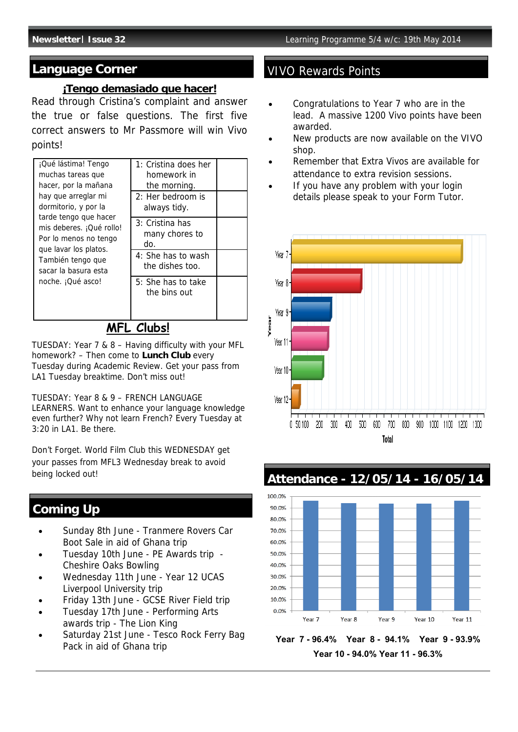### **Language Corner** VIVO Rewards Points

### **¡Tengo demasiado que hacer!**

Read through Cristina's complaint and answer the true or false questions. The first five correct answers to Mr Passmore will win Vivo points!

| the morning.<br>$2:$ Her bedroom is<br>always tidy.            |  |
|----------------------------------------------------------------|--|
| 3: Cristina has<br>many chores to<br>do.<br>4: She has to wash |  |
| the dishes too.<br>5: She has to take<br>the bins out          |  |
|                                                                |  |

### **MFL Clubs!**

TUESDAY: Year 7 & 8 – Having difficulty with your MFL homework? – Then come to **Lunch Club** every Tuesday during Academic Review. Get your pass from LA1 Tuesday breaktime. Don't miss out!

TUESDAY: Year 8 & 9 – FRENCH LANGUAGE LEARNERS. Want to enhance your language knowledge even further? Why not learn French? Every Tuesday at 3:20 in LA1. Be there.

Don't Forget. World Film Club this WEDNESDAY get your passes from MFL3 Wednesday break to avoid being locked out!

## **Coming Up**

- Sunday 8th June Tranmere Rovers Car Boot Sale in aid of Ghana trip
- Tuesday 10th June PE Awards trip Cheshire Oaks Bowling
- Wednesday 11th June Year 12 UCAS Liverpool University trip
- Friday 13th June GCSE River Field trip
- Tuesday 17th June Performing Arts awards trip - The Lion King
- Saturday 21st June Tesco Rock Ferry Bag Pack in aid of Ghana trip

- Congratulations to Year 7 who are in the lead. A massive 1200 Vivo points have been awarded.
- New products are now available on the VIVO shop.
- Remember that Extra Vivos are available for attendance to extra revision sessions.
- If you have any problem with your login details please speak to your Form Tutor.



**Attendance - 12/05/14 - 16/05/14** 



**Year 7 - 96.4% Year 8 - 94.1% Year 9 - 93.9% Year 10 - 94.0% Year 11 - 96.3%**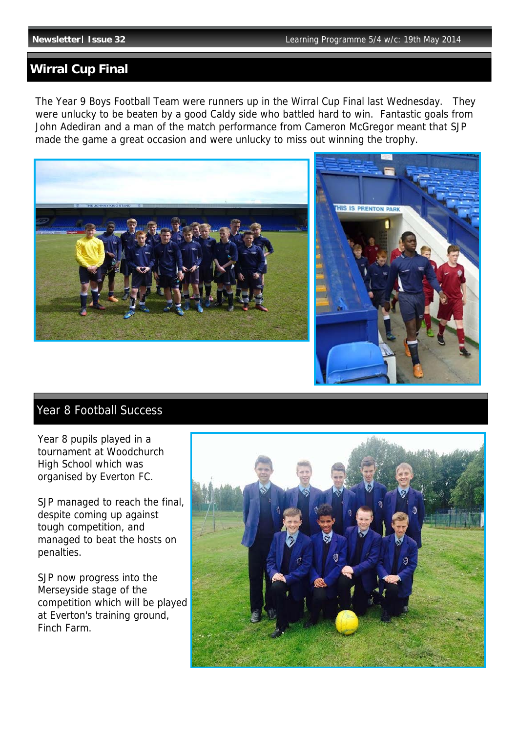## **Wirral Cup Final**

The Year 9 Boys Football Team were runners up in the Wirral Cup Final last Wednesday. They were unlucky to be beaten by a good Caldy side who battled hard to win. Fantastic goals from John Adediran and a man of the match performance from Cameron McGregor meant that SJP made the game a great occasion and were unlucky to miss out winning the trophy.





# Year 8 Football Success

Year 8 pupils played in a tournament at Woodchurch High School which was organised by Everton FC.

SJP managed to reach the final, despite coming up against tough competition, and managed to beat the hosts on penalties.

SJP now progress into the Merseyside stage of the competition which will be played at Everton's training ground, Finch Farm.